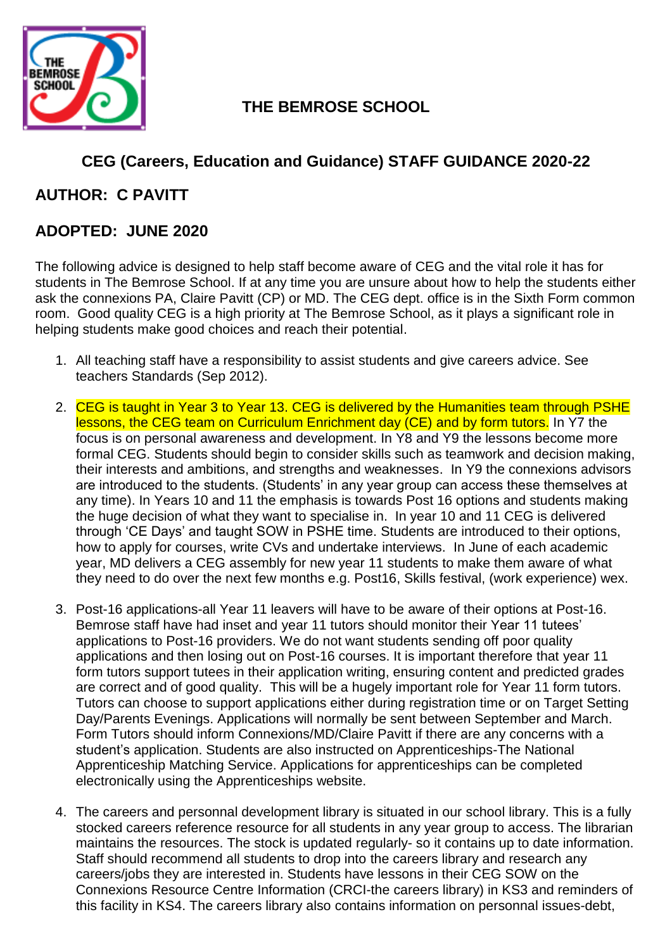

## **THE BEMROSE SCHOOL**

# **CEG (Careers, Education and Guidance) STAFF GUIDANCE 2020-22**

#### **AUTHOR: C PAVITT**

### **ADOPTED: JUNE 2020**

The following advice is designed to help staff become aware of CEG and the vital role it has for students in The Bemrose School. If at any time you are unsure about how to help the students either ask the connexions PA, Claire Pavitt (CP) or MD. The CEG dept. office is in the Sixth Form common room. Good quality CEG is a high priority at The Bemrose School, as it plays a significant role in helping students make good choices and reach their potential.

- 1. All teaching staff have a responsibility to assist students and give careers advice. See teachers Standards (Sep 2012).
- 2. CEG is taught in Year 3 to Year 13. CEG is delivered by the Humanities team through PSHE lessons, the CEG team on Curriculum Enrichment day (CE) and by form tutors. In Y7 the focus is on personal awareness and development. In Y8 and Y9 the lessons become more formal CEG. Students should begin to consider skills such as teamwork and decision making, their interests and ambitions, and strengths and weaknesses. In Y9 the connexions advisors are introduced to the students. (Students' in any year group can access these themselves at any time). In Years 10 and 11 the emphasis is towards Post 16 options and students making the huge decision of what they want to specialise in. In year 10 and 11 CEG is delivered through 'CE Days' and taught SOW in PSHE time. Students are introduced to their options, how to apply for courses, write CVs and undertake interviews. In June of each academic year, MD delivers a CEG assembly for new year 11 students to make them aware of what they need to do over the next few months e.g. Post16, Skills festival, (work experience) wex.
- 3. Post-16 applications-all Year 11 leavers will have to be aware of their options at Post-16. Bemrose staff have had inset and year 11 tutors should monitor their Year 11 tutees' applications to Post-16 providers. We do not want students sending off poor quality applications and then losing out on Post-16 courses. It is important therefore that year 11 form tutors support tutees in their application writing, ensuring content and predicted grades are correct and of good quality. This will be a hugely important role for Year 11 form tutors. Tutors can choose to support applications either during registration time or on Target Setting Day/Parents Evenings. Applications will normally be sent between September and March. Form Tutors should inform Connexions/MD/Claire Pavitt if there are any concerns with a student's application. Students are also instructed on Apprenticeships-The National Apprenticeship Matching Service. Applications for apprenticeships can be completed electronically using the Apprenticeships website.
- 4. The careers and personnal development library is situated in our school library. This is a fully stocked careers reference resource for all students in any year group to access. The librarian maintains the resources. The stock is updated regularly- so it contains up to date information. Staff should recommend all students to drop into the careers library and research any careers/jobs they are interested in. Students have lessons in their CEG SOW on the Connexions Resource Centre Information (CRCI-the careers library) in KS3 and reminders of this facility in KS4. The careers library also contains information on personnal issues-debt,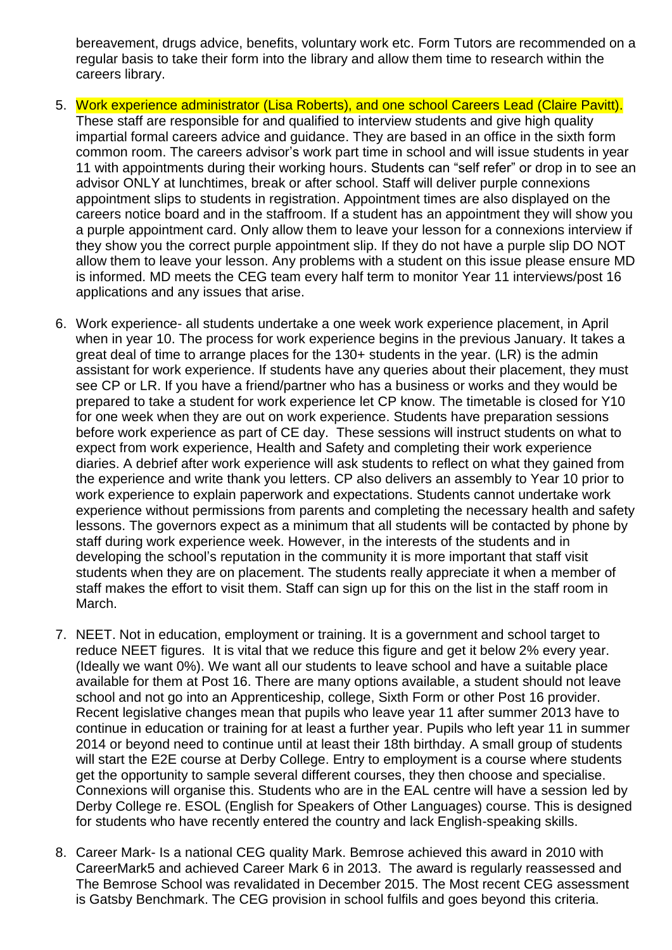bereavement, drugs advice, benefits, voluntary work etc. Form Tutors are recommended on a regular basis to take their form into the library and allow them time to research within the careers library.

- 5. Work experience administrator (Lisa Roberts), and one school Careers Lead (Claire Pavitt). These staff are responsible for and qualified to interview students and give high quality impartial formal careers advice and guidance. They are based in an office in the sixth form common room. The careers advisor's work part time in school and will issue students in year 11 with appointments during their working hours. Students can "self refer" or drop in to see an advisor ONLY at lunchtimes, break or after school. Staff will deliver purple connexions appointment slips to students in registration. Appointment times are also displayed on the careers notice board and in the staffroom. If a student has an appointment they will show you a purple appointment card. Only allow them to leave your lesson for a connexions interview if they show you the correct purple appointment slip. If they do not have a purple slip DO NOT allow them to leave your lesson. Any problems with a student on this issue please ensure MD is informed. MD meets the CEG team every half term to monitor Year 11 interviews/post 16 applications and any issues that arise.
- 6. Work experience- all students undertake a one week work experience placement, in April when in year 10. The process for work experience begins in the previous January. It takes a great deal of time to arrange places for the 130+ students in the year. (LR) is the admin assistant for work experience. If students have any queries about their placement, they must see CP or LR. If you have a friend/partner who has a business or works and they would be prepared to take a student for work experience let CP know. The timetable is closed for Y10 for one week when they are out on work experience. Students have preparation sessions before work experience as part of CE day. These sessions will instruct students on what to expect from work experience, Health and Safety and completing their work experience diaries. A debrief after work experience will ask students to reflect on what they gained from the experience and write thank you letters. CP also delivers an assembly to Year 10 prior to work experience to explain paperwork and expectations. Students cannot undertake work experience without permissions from parents and completing the necessary health and safety lessons. The governors expect as a minimum that all students will be contacted by phone by staff during work experience week. However, in the interests of the students and in developing the school's reputation in the community it is more important that staff visit students when they are on placement. The students really appreciate it when a member of staff makes the effort to visit them. Staff can sign up for this on the list in the staff room in March.
- 7. NEET. Not in education, employment or training. It is a government and school target to reduce NEET figures. It is vital that we reduce this figure and get it below 2% every year. (Ideally we want 0%). We want all our students to leave school and have a suitable place available for them at Post 16. There are many options available, a student should not leave school and not go into an Apprenticeship, college, Sixth Form or other Post 16 provider. Recent legislative changes mean that pupils who leave year 11 after summer 2013 have to continue in education or training for at least a further year. Pupils who left year 11 in summer 2014 or beyond need to continue until at least their 18th birthday. A small group of students will start the E2E course at Derby College. Entry to employment is a course where students get the opportunity to sample several different courses, they then choose and specialise. Connexions will organise this. Students who are in the EAL centre will have a session led by Derby College re. ESOL (English for Speakers of Other Languages) course. This is designed for students who have recently entered the country and lack English-speaking skills.
- 8. Career Mark- Is a national CEG quality Mark. Bemrose achieved this award in 2010 with CareerMark5 and achieved Career Mark 6 in 2013. The award is regularly reassessed and The Bemrose School was revalidated in December 2015. The Most recent CEG assessment is Gatsby Benchmark. The CEG provision in school fulfils and goes beyond this criteria.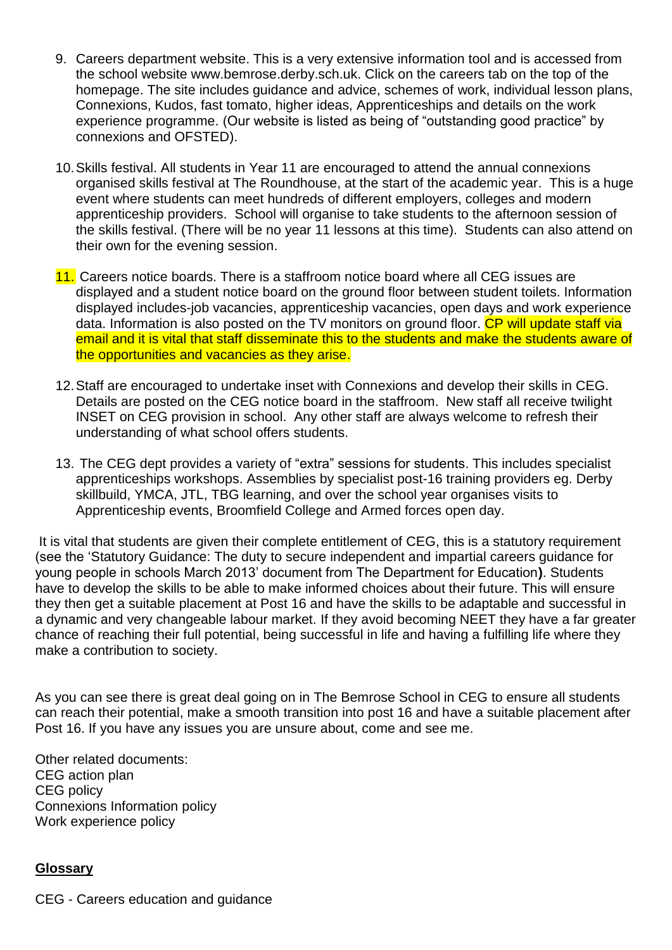- 9. Careers department website. This is a very extensive information tool and is accessed from the school website www.bemrose.derby.sch.uk. Click on the careers tab on the top of the homepage. The site includes guidance and advice, schemes of work, individual lesson plans, Connexions, Kudos, fast tomato, higher ideas, Apprenticeships and details on the work experience programme. (Our website is listed as being of "outstanding good practice" by connexions and OFSTED).
- 10.Skills festival. All students in Year 11 are encouraged to attend the annual connexions organised skills festival at The Roundhouse, at the start of the academic year. This is a huge event where students can meet hundreds of different employers, colleges and modern apprenticeship providers. School will organise to take students to the afternoon session of the skills festival. (There will be no year 11 lessons at this time). Students can also attend on their own for the evening session.
- 11. Careers notice boards. There is a staffroom notice board where all CEG issues are displayed and a student notice board on the ground floor between student toilets. Information displayed includes-job vacancies, apprenticeship vacancies, open days and work experience data. Information is also posted on the TV monitors on ground floor. CP will update staff via email and it is vital that staff disseminate this to the students and make the students aware of the opportunities and vacancies as they arise.
- 12.Staff are encouraged to undertake inset with Connexions and develop their skills in CEG. Details are posted on the CEG notice board in the staffroom. New staff all receive twilight INSET on CEG provision in school. Any other staff are always welcome to refresh their understanding of what school offers students.
- 13. The CEG dept provides a variety of "extra" sessions for students. This includes specialist apprenticeships workshops. Assemblies by specialist post-16 training providers eg. Derby skillbuild, YMCA, JTL, TBG learning, and over the school year organises visits to Apprenticeship events, Broomfield College and Armed forces open day.

It is vital that students are given their complete entitlement of CEG, this is a statutory requirement (see the 'Statutory Guidance: The duty to secure independent and impartial careers guidance for young people in schools March 2013' document from The Department for Education**)**. Students have to develop the skills to be able to make informed choices about their future. This will ensure they then get a suitable placement at Post 16 and have the skills to be adaptable and successful in a dynamic and very changeable labour market. If they avoid becoming NEET they have a far greater chance of reaching their full potential, being successful in life and having a fulfilling life where they make a contribution to society.

As you can see there is great deal going on in The Bemrose School in CEG to ensure all students can reach their potential, make a smooth transition into post 16 and have a suitable placement after Post 16. If you have any issues you are unsure about, come and see me.

Other related documents: CEG action plan CEG policy Connexions Information policy Work experience policy

#### **Glossary**